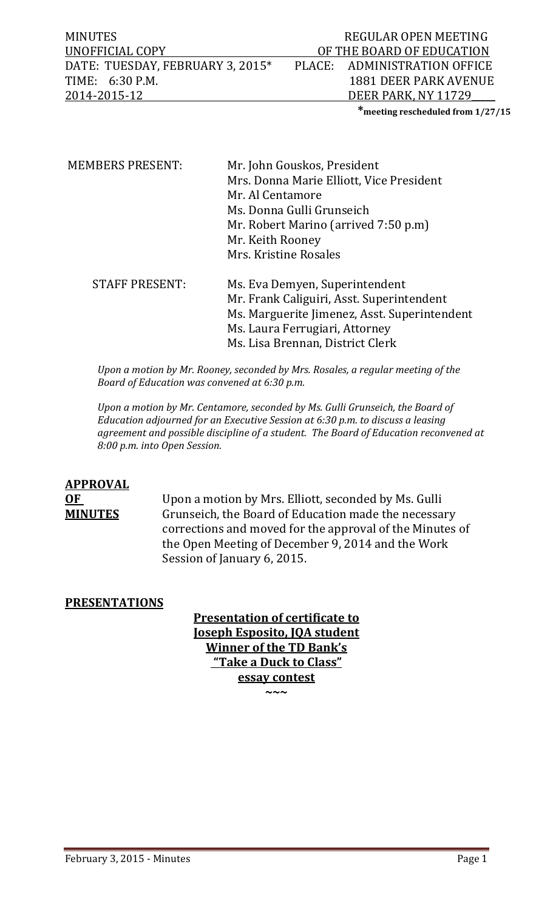MINUTES REGULAR OPEN MEETING OF THE BOARD OF EDUCATION<br>PLACE: ADMINISTRATION OFFICE DATE: TUESDAY, FEBRUARY 3, 2015\*<br>TIME: 6:30 P.M. TIME: 6:30 P.M. 1881 DEER PARK AVENUE<br>2014-2015-12 DEER PARK, NY 11729 DEER PARK, NY 11729

**\*meeting rescheduled from 1/27/15**

| <b>MEMBERS PRESENT:</b> | Mr. John Gouskos, President                  |  |  |
|-------------------------|----------------------------------------------|--|--|
|                         | Mrs. Donna Marie Elliott, Vice President     |  |  |
|                         | Mr. Al Centamore                             |  |  |
|                         | Ms. Donna Gulli Grunseich                    |  |  |
|                         | Mr. Robert Marino (arrived 7:50 p.m)         |  |  |
|                         | Mr. Keith Rooney                             |  |  |
|                         | Mrs. Kristine Rosales                        |  |  |
| <b>STAFF PRESENT:</b>   | Ms. Eva Demyen, Superintendent               |  |  |
|                         | Mr. Frank Caliguiri, Asst. Superintendent    |  |  |
|                         | Ms. Marguerite Jimenez, Asst. Superintendent |  |  |
|                         | Ms. Laura Ferrugiari, Attorney               |  |  |
|                         | Ms. Lisa Brennan, District Clerk             |  |  |

*Upon a motion by Mr. Rooney, seconded by Mrs. Rosales, a regular meeting of the Board of Education was convened at 6:30 p.m.*

*Upon a motion by Mr. Centamore, seconded by Ms. Gulli Grunseich, the Board of Education adjourned for an Executive Session at 6:30 p.m. to discuss a leasing agreement and possible discipline of a student. The Board of Education reconvened at 8:00 p.m. into Open Session.* 

# **APPROVAL**

**OF Upon a motion by Mrs. Elliott, seconded by Ms. Gulli**<br> **MINUTES** Grunseich, the Board of Education made the necessa Grunseich, the Board of Education made the necessary corrections and moved for the approval of the Minutes of the Open Meeting of December 9, 2014 and the Work Session of January 6, 2015.

## **PRESENTATIONS**

**Presentation of certificate to Joseph Esposito, JQA student Winner of the TD Bank's "Take a Duck to Class" essay contest**

**~~~**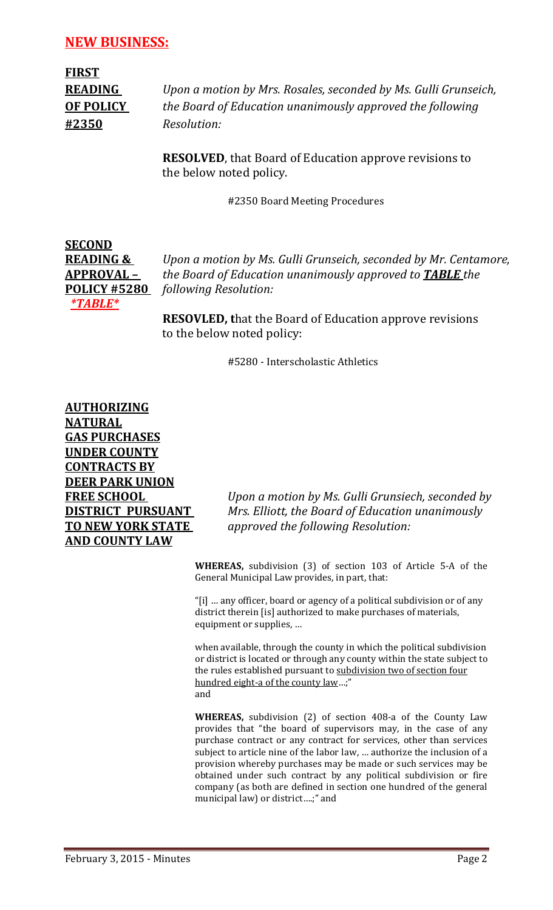**FIRST #2350** *Resolution:*

**READING** *Upon a motion by Mrs. Rosales, seconded by Ms. Gulli Grunseich,* **OF POLICY** *the Board of Education unanimously approved the following*

> **RESOLVED**, that Board of Education approve revisions to the below noted policy.

> > #2350 Board Meeting Procedures



**READING &** *Upon a motion by Ms. Gulli Grunseich, seconded by Mr. Centamore,* **APPROVAL –** *the Board of Education unanimously approved to TABLE the*  **POLICY #5280** *following Resolution:*

> **RESOVLED, t**hat the Board of Education approve revisions to the below noted policy:

> > #5280 - Interscholastic Athletics

**AUTHORIZING NATURAL GAS PURCHASES UNDER COUNTY CONTRACTS BY DEER PARK UNION AND COUNTY LAW**

**FREE SCHOOL** *Upon a motion by Ms. Gulli Grunsiech, seconded by* **DISTRICT PURSUANT** *Mrs. Elliott, the Board of Education unanimously*  **TO NEW YORK STATE** *approved the following Resolution:*

> **WHEREAS,** subdivision (3) of section 103 of Article 5-A of the General Municipal Law provides, in part, that:

"[i] … any officer, board or agency of a political subdivision or of any district therein [is] authorized to make purchases of materials, equipment or supplies, …

when available, through the county in which the political subdivision or district is located or through any county within the state subject to the rules established pursuant to [subdivision two of section four](http://web2.westlaw.com/find/default.wl?referencepositiontype=T&docname=NYCYS408-A&rp=%2ffind%2fdefault.wl&sv=Full&utid=%7b9CD488D6-7416-4454-B1BF-E71ED6693034%7d&rs=WLW8.10&db=1000065&tf=-1&findtype=L&fn=_top&mt=NewYork&vr=2.0&referenceposition=SP%3b57e60000f6d46&tc=-1&ordoc=2627633)  [hundred eight-a of the county law…](http://web2.westlaw.com/find/default.wl?referencepositiontype=T&docname=NYCYS408-A&rp=%2ffind%2fdefault.wl&sv=Full&utid=%7b9CD488D6-7416-4454-B1BF-E71ED6693034%7d&rs=WLW8.10&db=1000065&tf=-1&findtype=L&fn=_top&mt=NewYork&vr=2.0&referenceposition=SP%3b57e60000f6d46&tc=-1&ordoc=2627633);" and

**WHEREAS,** subdivision (2) of section 408-a of the County Law provides that "the board of supervisors may, in the case of any purchase contract or any contract for services, other than services subject to article nine of the labor law, … authorize the inclusion of a provision whereby purchases may be made or such services may be obtained under such contract by any political subdivision or fire company (as both are defined in section one hundred of the general municipal law) or district….;" and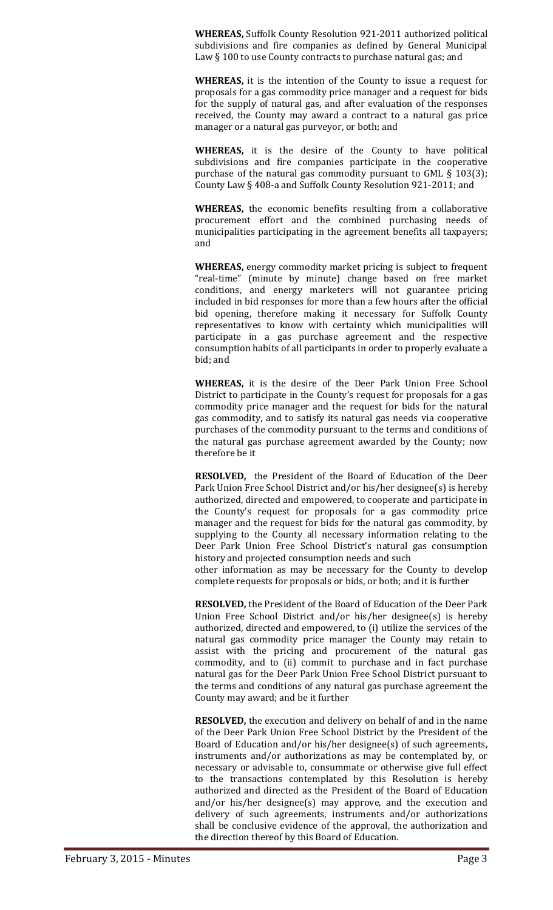**WHEREAS,** Suffolk County Resolution 921-2011 authorized political subdivisions and fire companies as defined by General Municipal Law § 100 to use County contracts to purchase natural gas; and

**WHEREAS,** it is the intention of the County to issue a request for proposals for a gas commodity price manager and a request for bids for the supply of natural gas, and after evaluation of the responses received, the County may award a contract to a natural gas price manager or a natural gas purveyor, or both; and

**WHEREAS,** it is the desire of the County to have political subdivisions and fire companies participate in the cooperative purchase of the natural gas commodity pursuant to GML § 103(3); County Law § 408-a and Suffolk County Resolution 921-2011; and

**WHEREAS,** the economic benefits resulting from a collaborative procurement effort and the combined purchasing needs of municipalities participating in the agreement benefits all taxpayers; and

**WHEREAS,** energy commodity market pricing is subject to frequent "real-time" (minute by minute) change based on free market conditions, and energy marketers will not guarantee pricing included in bid responses for more than a few hours after the official bid opening, therefore making it necessary for Suffolk County representatives to know with certainty which municipalities will participate in a gas purchase agreement and the respective consumption habits of all participants in order to properly evaluate a bid; and

**WHEREAS,** it is the desire of the Deer Park Union Free School District to participate in the County's request for proposals for a gas commodity price manager and the request for bids for the natural gas commodity, and to satisfy its natural gas needs via cooperative purchases of the commodity pursuant to the terms and conditions of the natural gas purchase agreement awarded by the County; now therefore be it

**RESOLVED,** the President of the Board of Education of the Deer Park Union Free School District and/or his/her designee(s) is hereby authorized, directed and empowered, to cooperate and participate in the County's request for proposals for a gas commodity price manager and the request for bids for the natural gas commodity, by supplying to the County all necessary information relating to the Deer Park Union Free School District's natural gas consumption history and projected consumption needs and such

other information as may be necessary for the County to develop complete requests for proposals or bids, or both; and it is further

**RESOLVED,** the President of the Board of Education of the Deer Park Union Free School District and/or his/her designee(s) is hereby authorized, directed and empowered, to (i) utilize the services of the natural gas commodity price manager the County may retain to assist with the pricing and procurement of the natural gas commodity, and to (ii) commit to purchase and in fact purchase natural gas for the Deer Park Union Free School District pursuant to the terms and conditions of any natural gas purchase agreement the County may award; and be it further

**RESOLVED,** the execution and delivery on behalf of and in the name of the Deer Park Union Free School District by the President of the Board of Education and/or his/her designee(s) of such agreements, instruments and/or authorizations as may be contemplated by, or necessary or advisable to, consummate or otherwise give full effect to the transactions contemplated by this Resolution is hereby authorized and directed as the President of the Board of Education and/or his/her designee(s) may approve, and the execution and delivery of such agreements, instruments and/or authorizations shall be conclusive evidence of the approval, the authorization and the direction thereof by this Board of Education.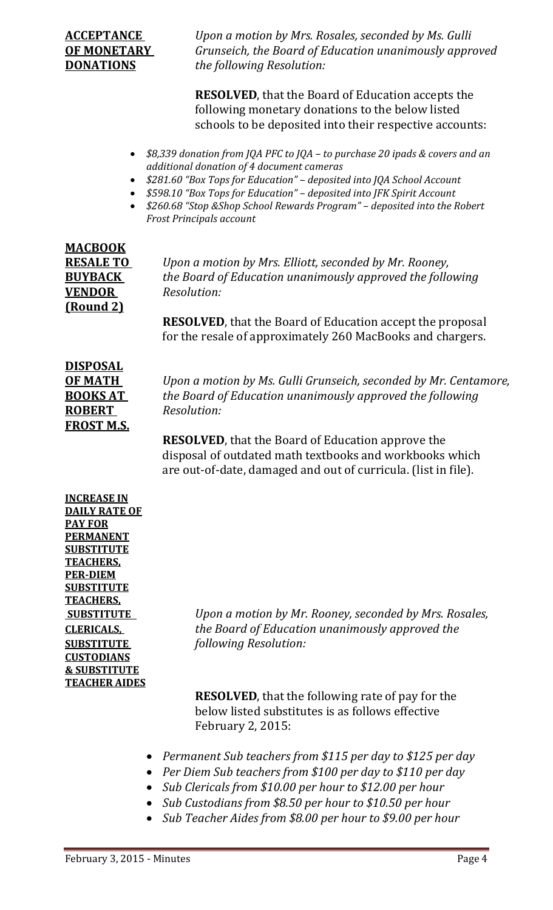**ACCEPTANCE** *Upon a motion by Mrs. Rosales, seconded by Ms. Gulli* **OF MONETARY** *Grunseich, the Board of Education unanimously approved*  **DONATIONS** *the following Resolution:*

> **RESOLVED**, that the Board of Education accepts the following monetary donations to the below listed schools to be deposited into their respective accounts:

- *\$8,339 donation from JQA PFC to JQA – to purchase 20 ipads & covers and an additional donation of 4 document cameras*
- *\$281.60 "Box Tops for Education" – deposited into JQA School Account*
- *\$598.10 "Box Tops for Education" – deposited into JFK Spirit Account*
- *\$260.68 "Stop &Shop School Rewards Program" – deposited into the Robert Frost Principals account*

| <b>MACBOOK</b>   |
|------------------|
| <u>RESALE TO</u> |
| <b>BUYBACK</b>   |
| <b>VENDOR</b>    |
| <u>(Round 2)</u> |

**RESALE TO** *Upon a motion by Mrs. Elliott, seconded by Mr. Rooney, the Board of Education unanimously approved the following*  $Resolution:$ 

**RESOLVED**, that the Board of Education accept the proposal for the resale of approximately 260 MacBooks and chargers.

| <b>DISPOSAL</b> |
|-----------------|
| ОҒ МАТН         |
| <b>BOOKS AT</b> |
| <b>ROBERT</b>   |
| FROST M.S.      |
|                 |

*Upon a motion by Ms. Gulli Grunseich, seconded by Mr. Centamore,* **BOOKS AT** *the Board of Education unanimously approved the following*  $Resolution:$ 

**RESOLVED**, that the Board of Education approve the disposal of outdated math textbooks and workbooks which are out-of-date, damaged and out of curricula. (list in file).

**INCREASE IN DAILY RATE OF PAY FOR PERMANENT SUBSTITUTE TEACHERS, PER-DIEM SUBSTITUTE TEACHERS, CUSTODIANS & SUBSTITUTE TEACHER AIDES**

**SUBSTITUTE** *Upon a motion by Mr. Rooney, seconded by Mrs. Rosales,* **CLERICALS,** *the Board of Education unanimously approved the*  **SUBSTITUTE** *following Resolution:*

> **RESOLVED**, that the following rate of pay for the below listed substitutes is as follows effective February 2, 2015:

- *Permanent Sub teachers from \$115 per day to \$125 per day*
- *Per Diem Sub teachers from \$100 per day to \$110 per day*
- *Sub Clericals from \$10.00 per hour to \$12.00 per hour*
- *Sub Custodians from \$8.50 per hour to \$10.50 per hour*
- *Sub Teacher Aides from \$8.00 per hour to \$9.00 per hour*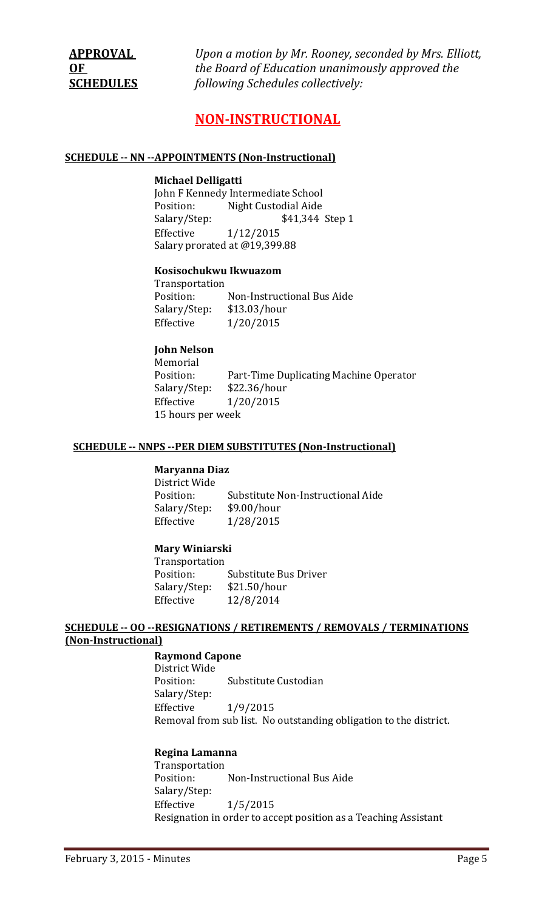**APPROVAL** *Upon a motion by Mr. Rooney, seconded by Mrs. Elliott,* **OF** *the Board of Education unanimously approved the*  **SCHEDULES** *following Schedules collectively:*

# **NON-INSTRUCTIONAL**

#### **SCHEDULE -- NN --APPOINTMENTS (Non-Instructional)**

#### **Michael Delligatti**

John F Kennedy Intermediate School<br>Position: Night Custodial Aide Position: Night Custodial Aide<br>Salary/Step: \$41,344 Salary/Step: \$41,344 Step 1<br>Effective 1/12/2015 Effective 1/12/2015 Salary prorated at @19,399.88

#### **Kosisochukwu Ikwuazom**

Transportation<br>Position: Non-Instructional Bus Aide<br>\$13.03/hour Salary/Step:<br>Effective  $1/20/2015$ 

## **John Nelson**

Memorial<br>Position: Part-Time Duplicating Machine Operator<br>\$22.36/hour Salary/Step:<br>Effective Effective 1/20/2015 15 hours per week

#### **SCHEDULE -- NNPS --PER DIEM SUBSTITUTES (Non-Instructional)**

#### **Maryanna Diaz**

District Wide<br>Position: Substitute Non-Instructional Aide<br>\$9.00/hour Salary/Step:<br>Effective Effective 1/28/2015

#### **Mary Winiarski**

Transportation Substitute Bus Driver<br>\$21.50/hour Salary/Step:<br>Effective Effective 12/8/2014

## **SCHEDULE -- OO --RESIGNATIONS / RETIREMENTS / REMOVALS / TERMINATIONS (Non-Instructional)**

#### **Raymond Capone**

District Wide Substitute Custodian Salary/Step:<br>Effective Effective 1/9/2015 Removal from sub list. No outstanding obligation to the district.

#### **Regina Lamanna**

Transportation Non-Instructional Bus Aide Salary/Step:<br>Effective  $1/5/2015$ Resignation in order to accept position as a Teaching Assistant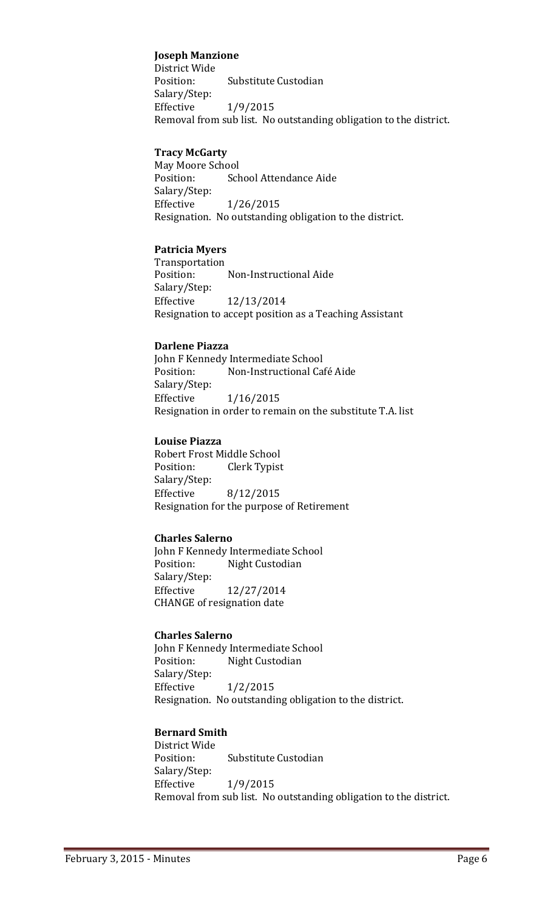#### **Joseph Manzione**

District Wide<br>Position: Substitute Custodian Salary/Step: Effective 1/9/2015 Removal from sub list. No outstanding obligation to the district.

#### **Tracy McGarty**

May Moore School<br>Position: Sch School Attendance Aide Salary/Step: Effective 1/26/2015 Resignation. No outstanding obligation to the district.

## **Patricia Myers**

Transportation<br>Position: Non-Instructional Aide Salary/Step: Effective 12/13/2014 Resignation to accept position as a Teaching Assistant

#### **Darlene Piazza**

John F Kennedy Intermediate School<br>Position: Mon-Instructional Ca Non-Instructional Café Aide Salary/Step: Effective 1/16/2015 Resignation in order to remain on the substitute T.A. list

#### **Louise Piazza**

Robert Frost Middle School<br>Position: Clerk Typist Clerk Typist Salary/Step: Effective 8/12/2015 Resignation for the purpose of Retirement

#### **Charles Salerno**

John F Kennedy Intermediate School<br>Position: Night Custodian Night Custodian Salary/Step: Effective 12/27/2014 CHANGE of resignation date

#### **Charles Salerno**

John F Kennedy Intermediate School<br>Position: Night Custodian Night Custodian Salary/Step:<br>Effective  $1/2/2015$ Resignation. No outstanding obligation to the district.

## **Bernard Smith**

District Wide Substitute Custodian Salary/Step: Effective 1/9/2015 Removal from sub list. No outstanding obligation to the district.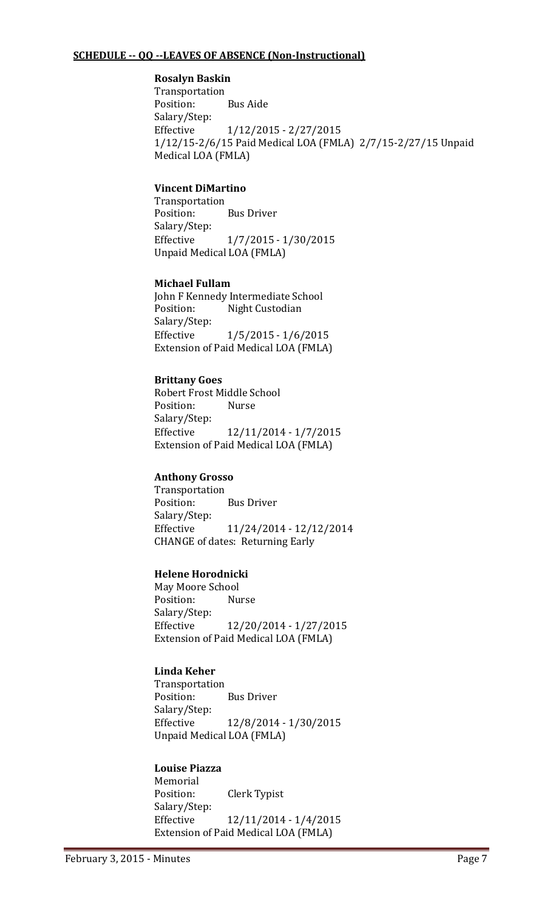## **SCHEDULE -- QQ --LEAVES OF ABSENCE (Non-Instructional)**

## **Rosalyn Baskin**

Transportation Position: Bus Aide Salary/Step: Effective 1/12/2015 - 2/27/2015 1/12/15-2/6/15 Paid Medical LOA (FMLA) 2/7/15-2/27/15 Unpaid Medical LOA (FMLA)

## **Vincent DiMartino**

Transportation **Bus Driver** Salary/Step: Effective 1/7/2015 - 1/30/2015 Unpaid Medical LOA (FMLA)

#### **Michael Fullam**

John F Kennedy Intermediate School<br>Position: Night Custodian Night Custodian Salary/Step:<br>Effective  $1/5/2015 - 1/6/2015$ Extension of Paid Medical LOA (FMLA)

## **Brittany Goes**

Robert Frost Middle School<br>Position: Nurse Position: Salary/Step:<br>Effective Effective 12/11/2014 - 1/7/2015 Extension of Paid Medical LOA (FMLA)

## **Anthony Grosso**

Transportation **Bus Driver** Salary/Step: Effective 11/24/2014 - 12/12/2014 CHANGE of dates: Returning Early

## **Helene Horodnicki**

May Moore School<br>Position: Nurse Position: Salary/Step: Effective 12/20/2014 - 1/27/2015 Extension of Paid Medical LOA (FMLA)

## **Linda Keher**

Transportation<br>Position: **Bus Driver** Salary/Step: Effective 12/8/2014 - 1/30/2015 Unpaid Medical LOA (FMLA)

## **Louise Piazza**

Memorial<br>Position: **Clerk Typist** Salary/Step:<br>Effective Effective 12/11/2014 - 1/4/2015 Extension of Paid Medical LOA (FMLA)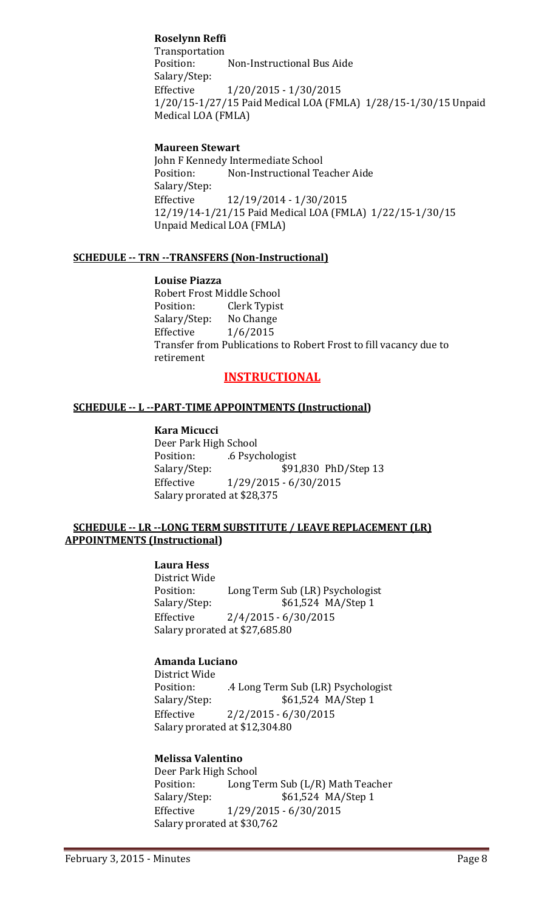## **Roselynn Reffi**

Transportation<br>Position: Non-Instructional Bus Aide Salary/Step: Effective 1/20/2015 - 1/30/2015 1/20/15-1/27/15 Paid Medical LOA (FMLA) 1/28/15-1/30/15 Unpaid Medical LOA (FMLA)

#### **Maureen Stewart**

John F Kennedy Intermediate School<br>Position: Mon-Instructional Te Non-Instructional Teacher Aide Salary/Step:<br>Effective Effective 12/19/2014 - 1/30/2015 12/19/14-1/21/15 Paid Medical LOA (FMLA) 1/22/15-1/30/15 Unpaid Medical LOA (FMLA)

#### **SCHEDULE -- TRN --TRANSFERS (Non-Instructional)**

**Louise Piazza** Robert Frost Middle School<br>Position: Clerk Typist Clerk Typist<br>No Change Salary/Step:<br>Effective  $1/6/2015$ Transfer from Publications to Robert Frost to fill vacancy due to retirement

# **INSTRUCTIONAL**

#### **SCHEDULE -- L --PART-TIME APPOINTMENTS (Instructional)**

#### **Kara Micucci**

Deer Park High School Position: .6 Psychologist<br>Salary/Step: \$91 Salary/Step: \$91,830 PhD/Step 13<br>Effective 1/29/2015 - 6/30/2015 Effective 1/29/2015 - 6/30/2015 Salary prorated at \$28,375

#### **SCHEDULE -- LR --LONG TERM SUBSTITUTE / LEAVE REPLACEMENT (LR) APPOINTMENTS (Instructional)**

# **Laura Hess**

District Wide Position: Long Term Sub (LR) Psychologist<br>Salary/Step: \$61,524 MA/Step 1 \$61,524 MA/Step 1 Effective 2/4/2015 - 6/30/2015 Salary prorated at \$27,685.80

## **Amanda Luciano**

District Wide<br>Position: Position: .4 Long Term Sub (LR) Psychologist<br>Salary/Step: \$61,524 MA/Step 1 Salary/Step: \$61,524 MA/Step 1<br>Effective 2/2/2015 - 6/30/2015  $2/2/2015 - 6/30/2015$ Salary prorated at \$12,304.80

## **Melissa Valentino**

Deer Park High School<br>Position: Long T Position: Long Term Sub (L/R) Math Teacher<br>Salary/Step: \$61,524 MA/Step 1 Salary/Step: \$61,524 MA/Step 1<br>Effective 1/29/2015 - 6/30/2015 Effective 1/29/2015 - 6/30/2015 Salary prorated at \$30,762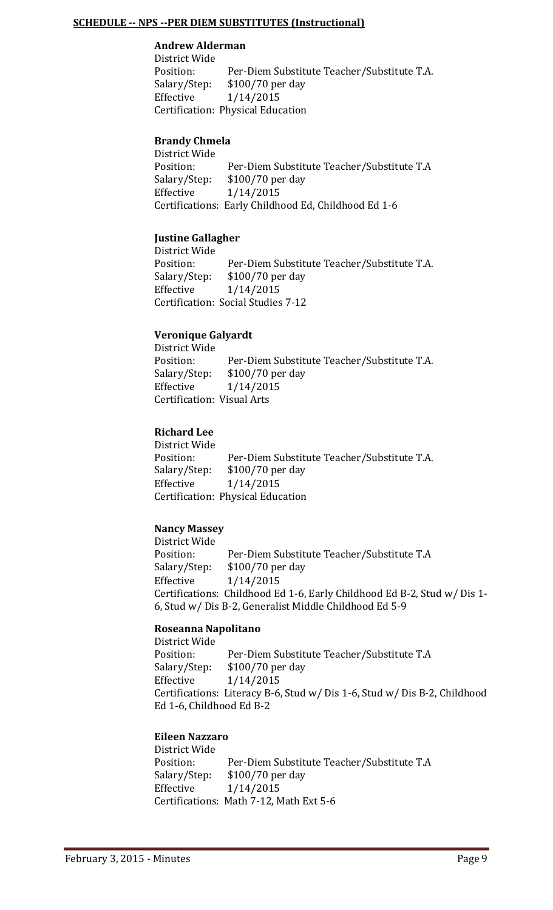#### **SCHEDULE -- NPS --PER DIEM SUBSTITUTES (Instructional)**

#### **Andrew Alderman**

District Wide Position: Per-Diem Substitute Teacher/Substitute T.A.<br>Salary/Step: \$100/70 per day Salary/Step: \$100/70 per day<br>Effective 1/14/2015 Effective 1/14/2015 Certification: Physical Education

#### **Brandy Chmela**

District Wide Position: Per-Diem Substitute Teacher/Substitute T.A<br>Salary/Step: \$100/70 per day Salary/Step: \$100/70 per day<br>Effective 1/14/2015 Effective 1/14/2015 Certifications: Early Childhood Ed, Childhood Ed 1-6

## **Justine Gallagher**

District Wide Position: Per-Diem Substitute Teacher/Substitute T.A.<br>Salary/Step: \$100/70 per day Salary/Step: \$100/70 per day<br>Effective 1/14/2015 Effective 1/14/2015 Certification: Social Studies 7-12

## **Veronique Galyardt**

District Wide Position: Per-Diem Substitute Teacher/Substitute T.A.<br>Salary/Step: \$100/70 per day Salary/Step: \$100/70 per day<br>Effective 1/14/2015 Effective 1/14/2015 Certification: Visual Arts

## **Richard Lee**

District Wide<br>Position: Position: Per-Diem Substitute Teacher/Substitute T.A.<br>Salary/Step: \$100/70 per day Salary/Step: \$100/70 per day<br>Effective 1/14/2015 Effective 1/14/2015 Certification: Physical Education

## **Nancy Massey**

District Wide Position: Per-Diem Substitute Teacher/Substitute T.A<br>Salary/Step: \$100/70 per day Salary/Step: \$100/70 per day<br>Effective 1/14/2015 Effective 1/14/2015 Certifications: Childhood Ed 1-6, Early Childhood Ed B-2, Stud w/ Dis 1- 6, Stud w/ Dis B-2, Generalist Middle Childhood Ed 5-9

## **Roseanna Napolitano**

District Wide<br>Position: Position: Per-Diem Substitute Teacher/Substitute T.A<br>Salary/Step: \$100/70 per day Salary/Step: \$100/70 per day<br>Effective 1/14/2015 Effective 1/14/2015 Certifications: Literacy B-6, Stud w/ Dis 1-6, Stud w/ Dis B-2, Childhood Ed 1-6, Childhood Ed B-2

## **Eileen Nazzaro**

District Wide<br>Position: Position: Per-Diem Substitute Teacher/Substitute T.A<br>Salary/Step: \$100/70 per day \$100/70 per day Effective 1/14/2015 Certifications: Math 7-12, Math Ext 5-6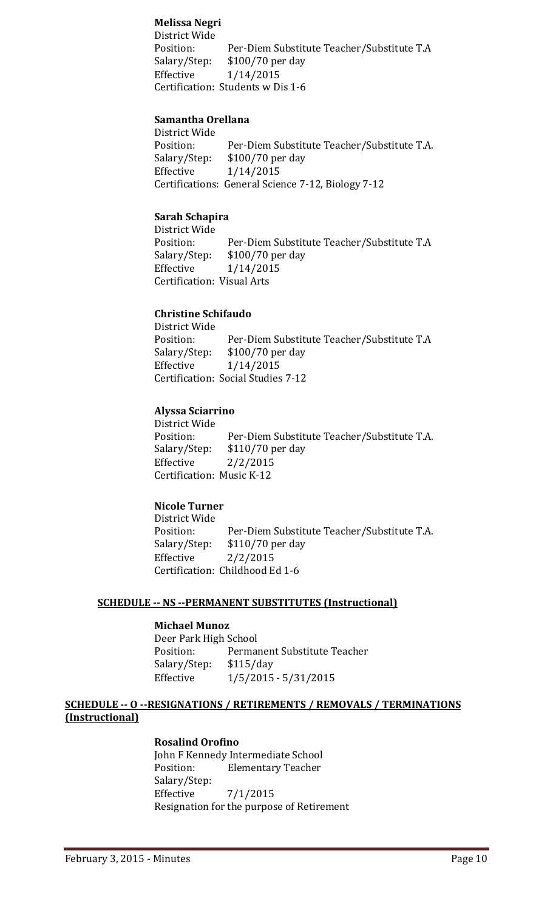## **Melissa Negri**

District Wide Position: Per-Diem Substitute Teacher/Substitute T.A<br>Salary/Step: \$100/70 per day Salary/Step: \$100/70 per day<br>Effective 1/14/2015 Effective 1/14/2015 Certification: Students w Dis 1-6

#### **Samantha Orellana**

District Wide Position: Per-Diem Substitute Teacher/Substitute T.A.<br>Salary/Step: \$100/70 per day Salary/Step: \$100/70 per day<br>Effective 1/14/2015 Effective 1/14/2015 Certifications: General Science 7-12, Biology 7-12

#### **Sarah Schapira**

District Wide Position: Per-Diem Substitute Teacher/Substitute T.A<br>Salary/Step: \$100/70 per day Salary/Step: \$100/70 per day<br>Effective 1/14/2015  $1/14/2015$ Certification: Visual Arts

#### **Christine Schifaudo**

District Wide Position: Per-Diem Substitute Teacher/Substitute T.A<br>Salary/Step: \$100/70 per day Salary/Step: \$100/70 per day<br>Effective 1/14/2015 Effective 1/14/2015 Certification: Social Studies 7-12

## **Alyssa Sciarrino**

District Wide Position: Per-Diem Substitute Teacher/Substitute T.A.<br>Salary/Step: \$110/70 per day Salary/Step: \$110/70 per day<br>Effective 2/2/2015  $2/2/2015$ Certification: Music K-12

#### **Nicole Turner**

District Wide<br>Position: Position: Per-Diem Substitute Teacher/Substitute T.A.<br>Salary/Step: \$110/70 per day Salary/Step: \$110/70 per day<br>Effective 2/2/2015 Effective 2/2/2015 Certification: Childhood Ed 1-6

#### **SCHEDULE -- NS --PERMANENT SUBSTITUTES (Instructional)**

# **Michael Munoz**

Deer Park High School<br>Position: Perma Permanent Substitute Teacher<br>\$115/day Salary/Step:<br>Effective  $1/5/2015 - 5/31/2015$ 

## **SCHEDULE -- O --RESIGNATIONS / RETIREMENTS / REMOVALS / TERMINATIONS (Instructional)**

#### **Rosalind Orofino**

John F Kennedy Intermediate School<br>Position: Flementary Teacher **Elementary Teacher** Salary/Step:<br>Effective  $7/1/2015$ Resignation for the purpose of Retirement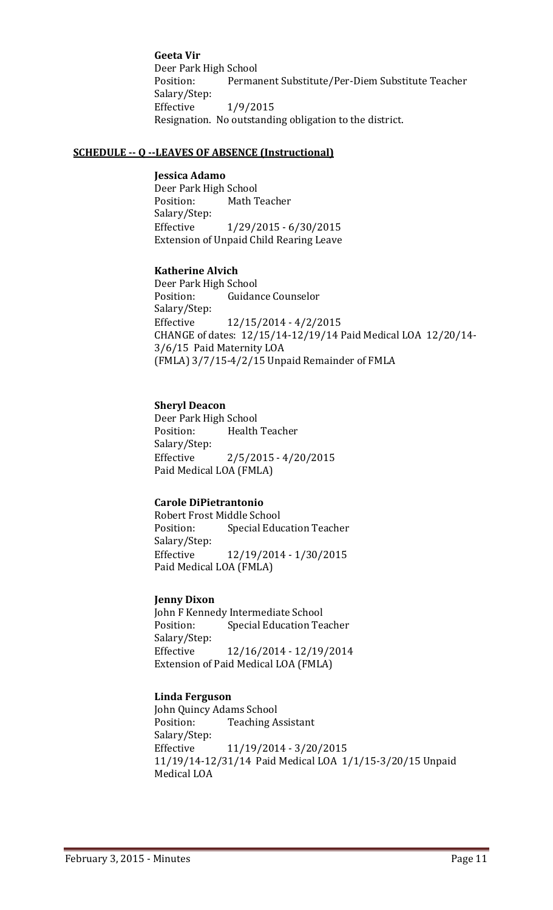**Geeta Vir** Deer Park High School<br>Position: Perma Permanent Substitute/Per-Diem Substitute Teacher Salary/Step: Effective 1/9/2015 Resignation. No outstanding obligation to the district.

#### **SCHEDULE -- Q --LEAVES OF ABSENCE (Instructional)**

#### **Jessica Adamo**

Deer Park High School<br>Position: Math T **Math Teacher** Salary/Step: Effective 1/29/2015 - 6/30/2015 Extension of Unpaid Child Rearing Leave

#### **Katherine Alvich**

Deer Park High School<br>Position: Guidan **Guidance Counselor** Salary/Step: Effective 12/15/2014 - 4/2/2015 CHANGE of dates: 12/15/14-12/19/14 Paid Medical LOA 12/20/14- 3/6/15 Paid Maternity LOA (FMLA) 3/7/15-4/2/15 Unpaid Remainder of FMLA

#### **Sheryl Deacon**

Deer Park High School Health Teacher Salary/Step:<br>Effective  $2/5/2015 - 4/20/2015$ Paid Medical LOA (FMLA)

## **Carole DiPietrantonio**

Robert Frost Middle School<br>Position: Special Edu **Special Education Teacher** Salary/Step: Effective 12/19/2014 - 1/30/2015 Paid Medical LOA (FMLA)

#### **Jenny Dixon**

John F Kennedy Intermediate School<br>Position: Special Education Tea **Special Education Teacher** Salary/Step: Effective 12/16/2014 - 12/19/2014 Extension of Paid Medical LOA (FMLA)

## **Linda Ferguson**

John Quincy Adams School **Teaching Assistant** Salary/Step: Effective 11/19/2014 - 3/20/2015 11/19/14-12/31/14 Paid Medical LOA 1/1/15-3/20/15 Unpaid Medical LOA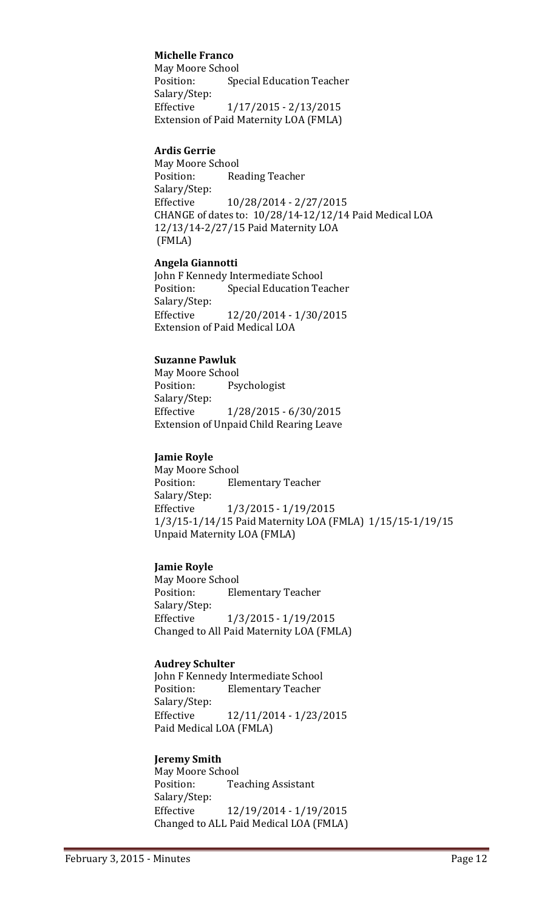## **Michelle Franco**

May Moore School<br>Position: Spe **Special Education Teacher** Salary/Step: Effective 1/17/2015 - 2/13/2015 Extension of Paid Maternity LOA (FMLA)

#### **Ardis Gerrie**

May Moore School<br>Position: Rea Reading Teacher Salary/Step:<br>Effective Effective 10/28/2014 - 2/27/2015 CHANGE of dates to: 10/28/14-12/12/14 Paid Medical LOA 12/13/14-2/27/15 Paid Maternity LOA (FMLA)

#### **Angela Giannotti**

John F Kennedy Intermediate School<br>Position: Special Education Te **Special Education Teacher** Salary/Step:<br>Effective Effective 12/20/2014 - 1/30/2015 Extension of Paid Medical LOA

## **Suzanne Pawluk**

May Moore School<br>Position: Psy Psychologist Salary/Step: Effective 1/28/2015 - 6/30/2015 Extension of Unpaid Child Rearing Leave

#### **Jamie Royle**

May Moore School<br>Position: Ele **Elementary Teacher** Salary/Step: Effective 1/3/2015 - 1/19/2015 1/3/15-1/14/15 Paid Maternity LOA (FMLA) 1/15/15-1/19/15 Unpaid Maternity LOA (FMLA)

## **Jamie Royle**

May Moore School<br>Position: Ele **Elementary Teacher** Salary/Step: Effective 1/3/2015 - 1/19/2015 Changed to All Paid Maternity LOA (FMLA)

## **Audrey Schulter**

John F Kennedy Intermediate School<br>Position: Flementary Teacher **Elementary Teacher** Salary/Step: Effective 12/11/2014 - 1/23/2015 Paid Medical LOA (FMLA)

#### **Jeremy Smith**

May Moore School<br>Position: Tea **Teaching Assistant** Salary/Step: Effective 12/19/2014 - 1/19/2015 Changed to ALL Paid Medical LOA (FMLA)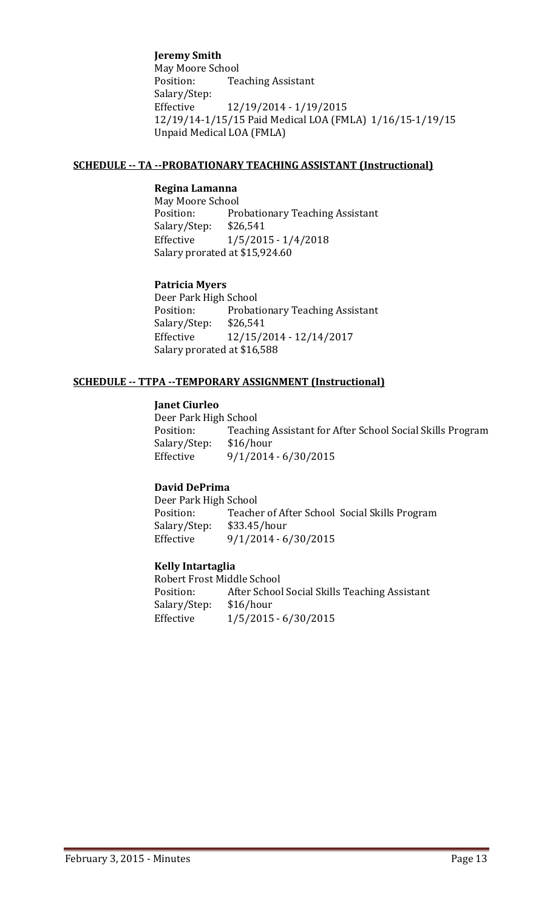## **Jeremy Smith**

May Moore School<br>Position: Tea **Teaching Assistant** Salary/Step:<br>Effective Effective 12/19/2014 - 1/19/2015 12/19/14-1/15/15 Paid Medical LOA (FMLA) 1/16/15-1/19/15 Unpaid Medical LOA (FMLA)

#### **SCHEDULE -- TA --PROBATIONARY TEACHING ASSISTANT (Instructional)**

#### **Regina Lamanna**

May Moore School<br>Position: Pro Probationary Teaching Assistant<br>\$26,541 Salary/Step:<br>Effective  $1/5/2015 - 1/4/2018$ Salary prorated at \$15,924.60

#### **Patricia Myers**

Deer Park High School<br>Position: Probat Probationary Teaching Assistant<br>\$26,541 Salary/Step:<br>Effective Effective 12/15/2014 - 12/14/2017 Salary prorated at \$16,588

#### **SCHEDULE -- TTPA --TEMPORARY ASSIGNMENT (Instructional)**

#### **Janet Ciurleo**

Deer Park High School<br>Position: Teachi Teaching Assistant for After School Social Skills Program \$16/hour Salary/Step:<br>Effective  $9/1/2014 - 6/30/2015$ 

## **David DePrima**

Deer Park High School<br>Position: Teache Teacher of After School Social Skills Program<br>\$33.45/hour Salary/Step:<br>Effective  $9/1/2014 - 6/30/2015$ 

#### **Kelly Intartaglia**

Robert Frost Middle School<br>Position: After School After School Social Skills Teaching Assistant \$16/hour Salary/Step:<br>Effective  $1/5/2015 - 6/30/2015$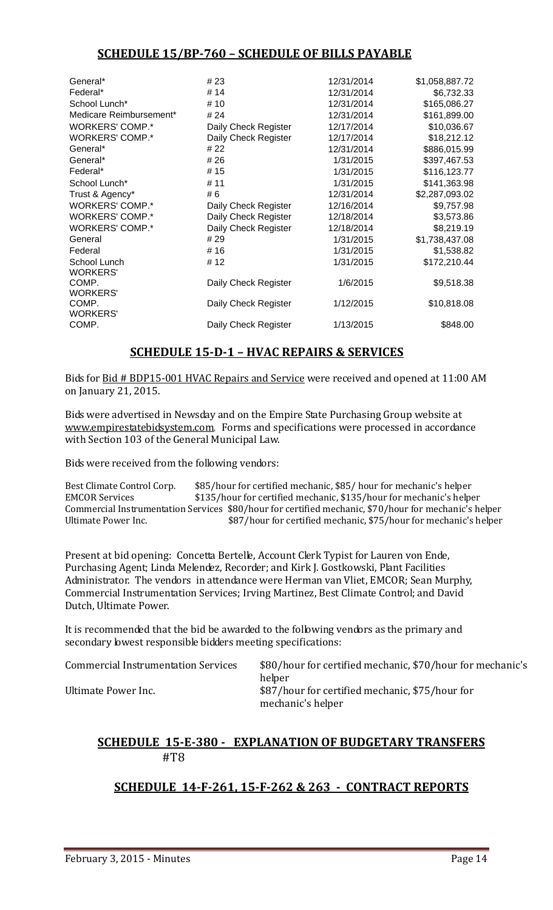# **SCHEDULE 15/BP-760 – SCHEDULE OF BILLS PAYABLE**

| General*                        | # 23                 | 12/31/2014 | \$1,058,887.72 |
|---------------------------------|----------------------|------------|----------------|
| Federal*                        | # 14                 | 12/31/2014 | \$6,732.33     |
| School Lunch*                   | # 10                 | 12/31/2014 | \$165,086.27   |
| Medicare Reimbursement*         | # 24                 | 12/31/2014 | \$161,899.00   |
| <b>WORKERS' COMP.*</b>          | Daily Check Register | 12/17/2014 | \$10,036.67    |
| <b>WORKERS' COMP.*</b>          | Daily Check Register | 12/17/2014 | \$18,212.12    |
| General*                        | # 22                 | 12/31/2014 | \$886,015.99   |
| General*                        | # 26                 | 1/31/2015  | \$397,467.53   |
| Federal*                        | # 15                 | 1/31/2015  | \$116,123.77   |
| School Lunch*                   | # 11                 | 1/31/2015  | \$141,363.98   |
| Trust & Agency*                 | # 6                  | 12/31/2014 | \$2,287,093.02 |
| <b>WORKERS' COMP.*</b>          | Daily Check Register | 12/16/2014 | \$9,757.98     |
| <b>WORKERS' COMP.*</b>          | Daily Check Register | 12/18/2014 | \$3,573.86     |
| <b>WORKERS' COMP.*</b>          | Daily Check Register | 12/18/2014 | \$8,219.19     |
| General                         | # 29                 | 1/31/2015  | \$1,738,437.08 |
| Federal                         | # 16                 | 1/31/2015  | \$1,538.82     |
| School Lunch<br><b>WORKERS'</b> | # 12                 | 1/31/2015  | \$172,210.44   |
| COMP.<br><b>WORKERS'</b>        | Daily Check Register | 1/6/2015   | \$9,518.38     |
| COMP.<br><b>WORKERS'</b>        | Daily Check Register | 1/12/2015  | \$10,818.08    |
| COMP.                           | Daily Check Register | 1/13/2015  | \$848.00       |
|                                 |                      |            |                |

# **SCHEDULE 15-D-1 – HVAC REPAIRS & SERVICES**

Bids for Bid # BDP15-001 HVAC Repairs and Service were received and opened at 11:00 AM on January 21, 2015.

Bids were advertised in Newsday and on the Empire State Purchasing Group website at [www.empirestatebidsystem.com.](http://www.empirestatebidsystem.com/) Forms and specifications were processed in accordance with Section 103 of the General Municipal Law.

Bids were received from the following vendors:

Best Climate Control Corp.  $$85/hour$  for certified mechanic, \$85/ hour for mechanic's helper<br>EMCOR Services  $$135/hour$  for certified mechanic, \$135/hour for mechanic's helpe \$135/hour for certified mechanic, \$135/hour for mechanic's helper Commercial Instrumentation Services \$80/hour for certified mechanic, \$70/hour for mechanic's helper \$87/hour for certified mechanic, \$75/hour for mechanic's helper

Present at bid opening: Concetta Bertelle, Account Clerk Typist for Lauren von Ende, Purchasing Agent; Linda Melendez, Recorder; and Kirk J. Gostkowski, Plant Facilities Administrator. The vendors in attendance were Herman van Vliet, EMCOR; Sean Murphy, Commercial Instrumentation Services; Irving Martinez, Best Climate Control; and David Dutch, Ultimate Power.

It is recommended that the bid be awarded to the following vendors as the primary and secondary lowest responsible bidders meeting specifications:

Commercial Instrumentation Services \$80/hour for certified mechanic, \$70/hour for mechanic's helper Ultimate Power Inc.  $$87/hour$  for certified mechanic, \$75/hour for mechanic's helper

## **SCHEDULE 15-E-380 - EXPLANATION OF BUDGETARY TRANSFERS** #T8

# **SCHEDULE 14-F-261, 15-F-262 & 263 - CONTRACT REPORTS**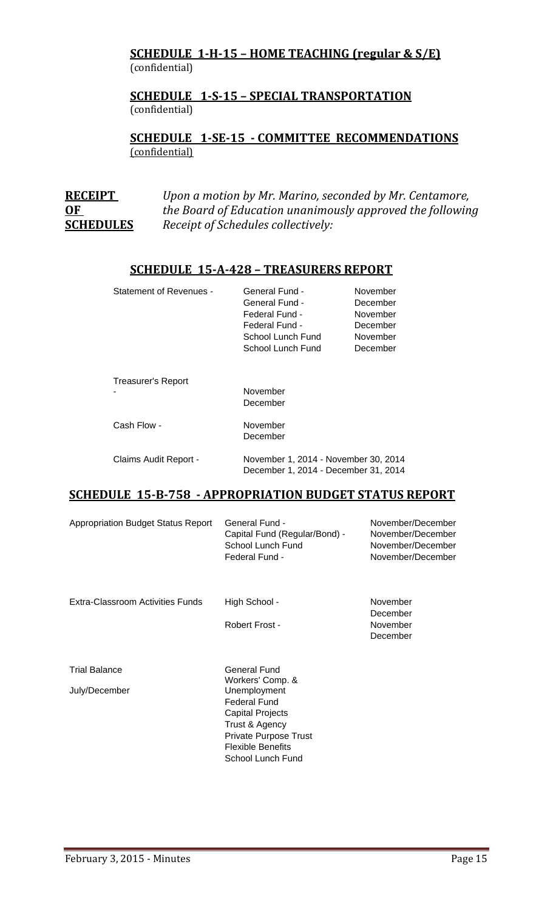## **SCHEDULE 1-H-15 – HOME TEACHING (regular & S/E)**  (confidential)

## **SCHEDULE 1-S-15 – SPECIAL TRANSPORTATION**  (confidential)

**SCHEDULE 1-SE-15 - COMMITTEE RECOMMENDATIONS** (confidential)

| <b>RECEIPT</b>   | Upon a motion by Mr. Marino, seconded by Mr. Centamore,   |
|------------------|-----------------------------------------------------------|
| OF               | the Board of Education unanimously approved the following |
| <b>SCHEDULES</b> | Receipt of Schedules collectively:                        |

## **SCHEDULE 15-A-428 – TREASURERS REPORT**

| <b>Statement of Revenues -</b> | General Fund -<br>General Fund -<br>Federal Fund -<br>Federal Fund -<br>School Lunch Fund<br>School Lunch Fund | November<br>December<br>November<br>December<br>November<br>December |
|--------------------------------|----------------------------------------------------------------------------------------------------------------|----------------------------------------------------------------------|
| Treasurer's Report             | November<br>December                                                                                           |                                                                      |
| Cash Flow -                    | November<br>December                                                                                           |                                                                      |
| Claims Audit Report -          | November 1, 2014 - November 30, 2014<br>December 1, 2014 - December 31, 2014                                   |                                                                      |

## **SCHEDULE 15-B-758 - APPROPRIATION BUDGET STATUS REPORT**

| <b>Appropriation Budget Status Report</b> | General Fund -<br>Capital Fund (Regular/Bond) -<br>School Lunch Fund<br>Federal Fund -                                                                            | November/December<br>November/December<br>November/December<br>November/December |
|-------------------------------------------|-------------------------------------------------------------------------------------------------------------------------------------------------------------------|----------------------------------------------------------------------------------|
| Extra-Classroom Activities Funds          | High School -                                                                                                                                                     | November<br>December                                                             |
|                                           | Robert Frost -                                                                                                                                                    | November<br>December                                                             |
| <b>Trial Balance</b>                      | General Fund<br>Workers' Comp. &                                                                                                                                  |                                                                                  |
| July/December                             | Unemployment<br><b>Federal Fund</b><br><b>Capital Projects</b><br>Trust & Agency<br><b>Private Purpose Trust</b><br><b>Flexible Benefits</b><br>School Lunch Fund |                                                                                  |